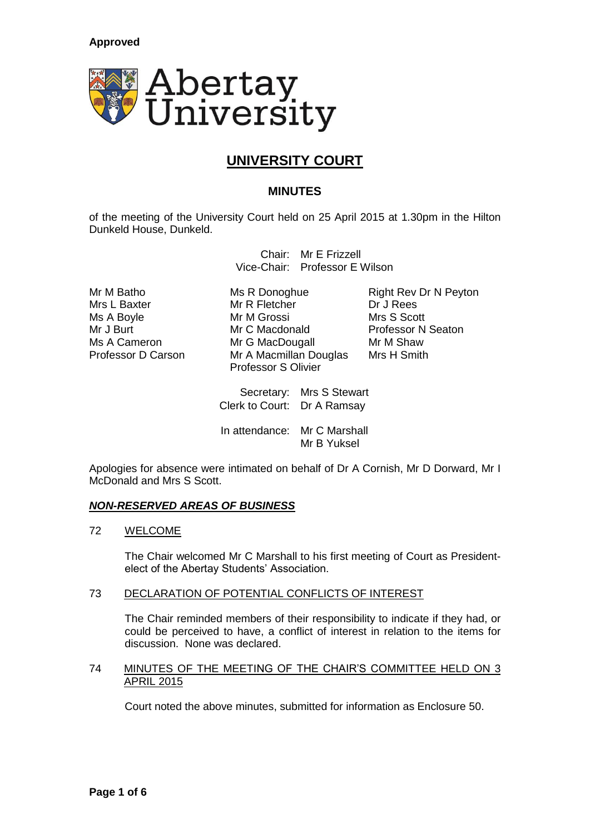

# **UNIVERSITY COURT**

# **MINUTES**

of the meeting of the University Court held on 25 April 2015 at 1.30pm in the Hilton Dunkeld House, Dunkeld.

> Chair: Mr E Frizzell Vice-Chair: Professor E Wilson

Mr R Fletcher Ms A Boyle **Mr M Grossi** Mrs S Scott Mr J Burt **Mr C Macdonald** Professor N Seaton Ms A Cameron Mr G MacDougall Mr M Shaw<br>Professor D Carson Mr A Macmillan Douglas Mrs H Smith Professor D Carson Mr A Macmillan Douglas Professor S Olivier

Mr M Batho Ms R Donoghue Right Rev Dr N Peyton<br>
Mr R Fletcher
Mr S Dr J Rees
Mr R Fletcher
Mr S Dr J Rees
Mr R Fletcher
Mr S Dr J Rees
Mr S Dr J Rees
Mr S Dr J Rees
Mr S Dr J Rees
Mr S Dr J Rees
Mr S Dr J Rees
Mr S Dr J Re

Secretary: Mrs S Stewart Clerk to Court: Dr A Ramsay

In attendance: Mr C Marshall Mr B Yuksel

Apologies for absence were intimated on behalf of Dr A Cornish, Mr D Dorward, Mr I McDonald and Mrs S Scott.

# *NON-RESERVED AREAS OF BUSINESS*

# 72 WELCOME

The Chair welcomed Mr C Marshall to his first meeting of Court as Presidentelect of the Abertay Students' Association.

# 73 DECLARATION OF POTENTIAL CONFLICTS OF INTEREST

The Chair reminded members of their responsibility to indicate if they had, or could be perceived to have, a conflict of interest in relation to the items for discussion. None was declared.

# 74 MINUTES OF THE MEETING OF THE CHAIR'S COMMITTEE HELD ON 3 APRIL 2015

Court noted the above minutes, submitted for information as Enclosure 50.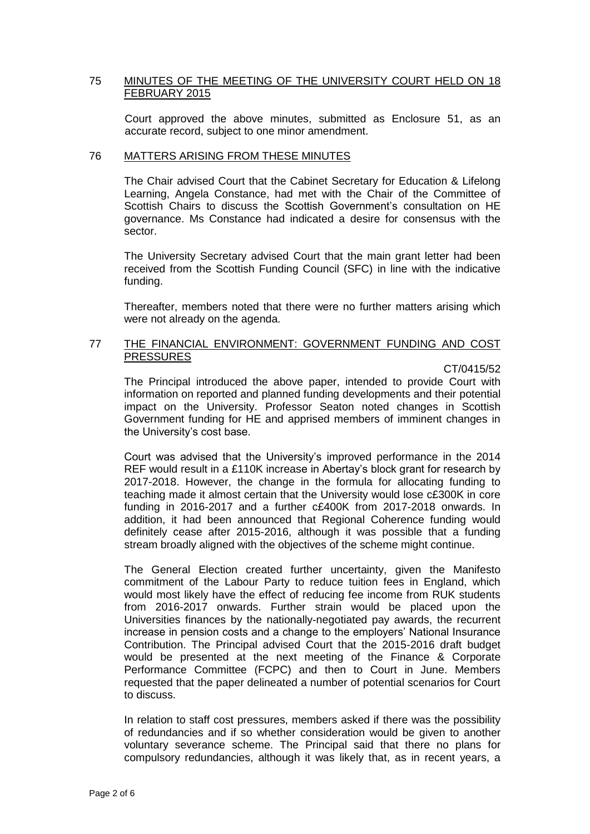# 75 MINUTES OF THE MEETING OF THE UNIVERSITY COURT HELD ON 18 FEBRUARY 2015

Court approved the above minutes, submitted as Enclosure 51, as an accurate record, subject to one minor amendment.

## 76 MATTERS ARISING FROM THESE MINUTES

The Chair advised Court that the Cabinet Secretary for Education & Lifelong Learning, Angela Constance, had met with the Chair of the Committee of Scottish Chairs to discuss the Scottish Government's consultation on HE governance. Ms Constance had indicated a desire for consensus with the sector.

The University Secretary advised Court that the main grant letter had been received from the Scottish Funding Council (SFC) in line with the indicative funding.

Thereafter, members noted that there were no further matters arising which were not already on the agenda.

# 77 THE FINANCIAL ENVIRONMENT: GOVERNMENT FUNDING AND COST PRESSURES

#### CT/0415/52

The Principal introduced the above paper, intended to provide Court with information on reported and planned funding developments and their potential impact on the University. Professor Seaton noted changes in Scottish Government funding for HE and apprised members of imminent changes in the University's cost base.

Court was advised that the University's improved performance in the 2014 REF would result in a £110K increase in Abertay's block grant for research by 2017-2018. However, the change in the formula for allocating funding to teaching made it almost certain that the University would lose c£300K in core funding in 2016-2017 and a further c£400K from 2017-2018 onwards. In addition, it had been announced that Regional Coherence funding would definitely cease after 2015-2016, although it was possible that a funding stream broadly aligned with the objectives of the scheme might continue.

The General Election created further uncertainty, given the Manifesto commitment of the Labour Party to reduce tuition fees in England, which would most likely have the effect of reducing fee income from RUK students from 2016-2017 onwards. Further strain would be placed upon the Universities finances by the nationally-negotiated pay awards, the recurrent increase in pension costs and a change to the employers' National Insurance Contribution. The Principal advised Court that the 2015-2016 draft budget would be presented at the next meeting of the Finance & Corporate Performance Committee (FCPC) and then to Court in June. Members requested that the paper delineated a number of potential scenarios for Court to discuss.

In relation to staff cost pressures, members asked if there was the possibility of redundancies and if so whether consideration would be given to another voluntary severance scheme. The Principal said that there no plans for compulsory redundancies, although it was likely that, as in recent years, a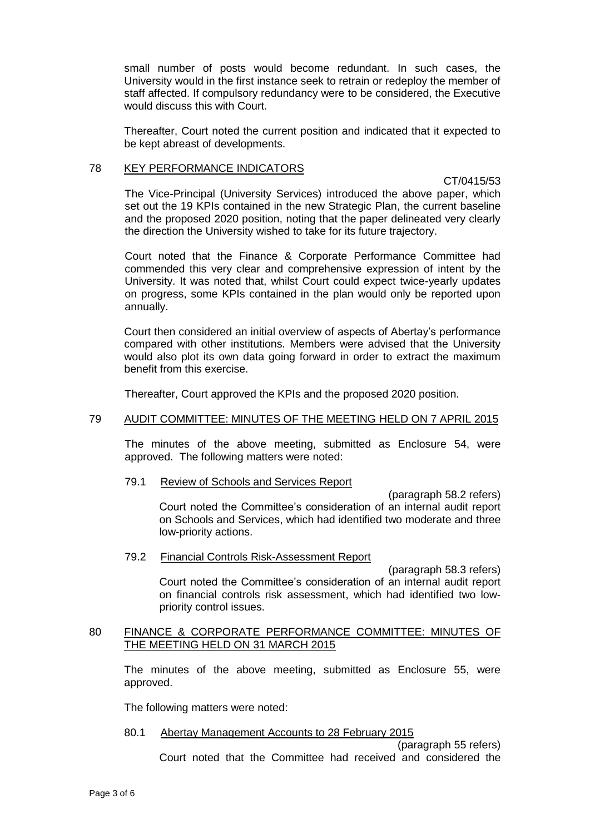small number of posts would become redundant. In such cases, the University would in the first instance seek to retrain or redeploy the member of staff affected. If compulsory redundancy were to be considered, the Executive would discuss this with Court.

Thereafter, Court noted the current position and indicated that it expected to be kept abreast of developments.

# 78 KEY PERFORMANCE INDICATORS

CT/0415/53

The Vice-Principal (University Services) introduced the above paper, which set out the 19 KPIs contained in the new Strategic Plan, the current baseline and the proposed 2020 position, noting that the paper delineated very clearly the direction the University wished to take for its future trajectory.

Court noted that the Finance & Corporate Performance Committee had commended this very clear and comprehensive expression of intent by the University. It was noted that, whilst Court could expect twice-yearly updates on progress, some KPIs contained in the plan would only be reported upon annually.

Court then considered an initial overview of aspects of Abertay's performance compared with other institutions. Members were advised that the University would also plot its own data going forward in order to extract the maximum benefit from this exercise.

Thereafter, Court approved the KPIs and the proposed 2020 position.

# 79 AUDIT COMMITTEE: MINUTES OF THE MEETING HELD ON 7 APRIL 2015

The minutes of the above meeting, submitted as Enclosure 54, were approved. The following matters were noted:

79.1 Review of Schools and Services Report

(paragraph 58.2 refers) Court noted the Committee's consideration of an internal audit report on Schools and Services, which had identified two moderate and three low-priority actions.

79.2 Financial Controls Risk-Assessment Report

(paragraph 58.3 refers) Court noted the Committee's consideration of an internal audit report on financial controls risk assessment, which had identified two lowpriority control issues.

## 80 FINANCE & CORPORATE PERFORMANCE COMMITTEE: MINUTES OF THE MEETING HELD ON 31 MARCH 2015

The minutes of the above meeting, submitted as Enclosure 55, were approved.

The following matters were noted:

80.1 Abertay Management Accounts to 28 February 2015

(paragraph 55 refers) Court noted that the Committee had received and considered the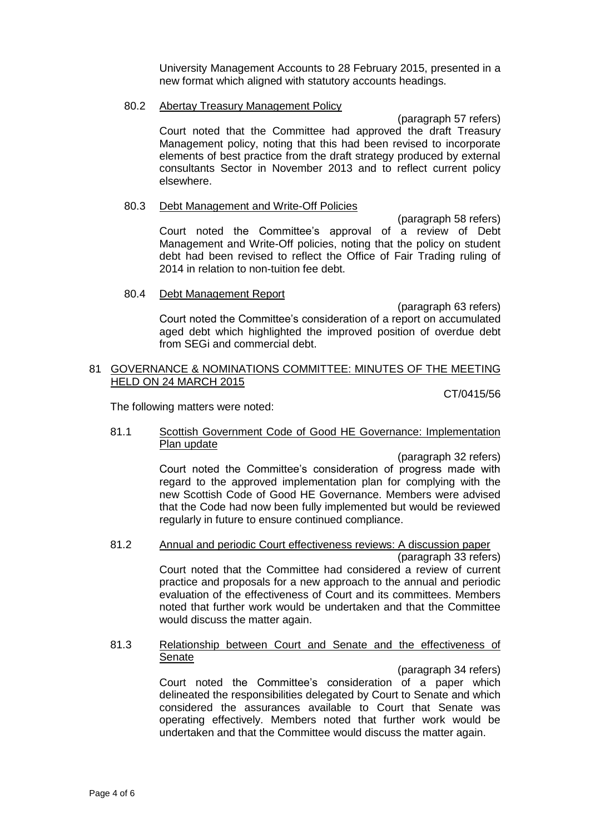University Management Accounts to 28 February 2015, presented in a new format which aligned with statutory accounts headings.

#### 80.2 Abertay Treasury Management Policy

(paragraph 57 refers) Court noted that the Committee had approved the draft Treasury Management policy, noting that this had been revised to incorporate elements of best practice from the draft strategy produced by external consultants Sector in November 2013 and to reflect current policy elsewhere.

#### 80.3 Debt Management and Write-Off Policies

(paragraph 58 refers) Court noted the Committee's approval of a review of Debt Management and Write-Off policies, noting that the policy on student debt had been revised to reflect the Office of Fair Trading ruling of 2014 in relation to non-tuition fee debt.

#### 80.4 Debt Management Report

(paragraph 63 refers)

Court noted the Committee's consideration of a report on accumulated aged debt which highlighted the improved position of overdue debt from SEGi and commercial debt.

# 81 GOVERNANCE & NOMINATIONS COMMITTEE: MINUTES OF THE MEETING HELD ON 24 MARCH 2015

CT/0415/56

The following matters were noted:

## 81.1 Scottish Government Code of Good HE Governance: Implementation Plan update

(paragraph 32 refers)

Court noted the Committee's consideration of progress made with regard to the approved implementation plan for complying with the new Scottish Code of Good HE Governance. Members were advised that the Code had now been fully implemented but would be reviewed regularly in future to ensure continued compliance.

# 81.2 Annual and periodic Court effectiveness reviews: A discussion paper

(paragraph 33 refers) Court noted that the Committee had considered a review of current practice and proposals for a new approach to the annual and periodic evaluation of the effectiveness of Court and its committees. Members noted that further work would be undertaken and that the Committee would discuss the matter again.

81.3 Relationship between Court and Senate and the effectiveness of **Senate** 

(paragraph 34 refers)

Court noted the Committee's consideration of a paper which delineated the responsibilities delegated by Court to Senate and which considered the assurances available to Court that Senate was operating effectively. Members noted that further work would be undertaken and that the Committee would discuss the matter again.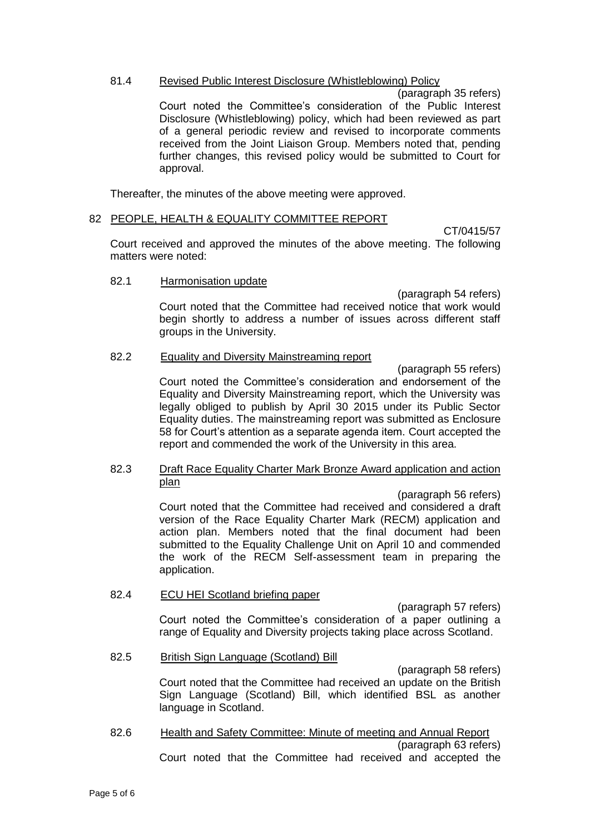# 81.4 Revised Public Interest Disclosure (Whistleblowing) Policy

(paragraph 35 refers) Court noted the Committee's consideration of the Public Interest Disclosure (Whistleblowing) policy, which had been reviewed as part of a general periodic review and revised to incorporate comments received from the Joint Liaison Group. Members noted that, pending further changes, this revised policy would be submitted to Court for approval.

Thereafter, the minutes of the above meeting were approved.

## 82 PEOPLE, HEALTH & EQUALITY COMMITTEE REPORT

CT/0415/57

Court received and approved the minutes of the above meeting. The following matters were noted:

## 82.1 Harmonisation update

(paragraph 54 refers) Court noted that the Committee had received notice that work would begin shortly to address a number of issues across different staff groups in the University.

## 82.2 Equality and Diversity Mainstreaming report

(paragraph 55 refers) Court noted the Committee's consideration and endorsement of the Equality and Diversity Mainstreaming report, which the University was legally obliged to publish by April 30 2015 under its Public Sector Equality duties. The mainstreaming report was submitted as Enclosure 58 for Court's attention as a separate agenda item. Court accepted the report and commended the work of the University in this area.

82.3 Draft Race Equality Charter Mark Bronze Award application and action plan

> (paragraph 56 refers) Court noted that the Committee had received and considered a draft version of the Race Equality Charter Mark (RECM) application and action plan. Members noted that the final document had been submitted to the Equality Challenge Unit on April 10 and commended the work of the RECM Self-assessment team in preparing the application.

82.4 ECU HEI Scotland briefing paper

(paragraph 57 refers) Court noted the Committee's consideration of a paper outlining a

- range of Equality and Diversity projects taking place across Scotland.
- 82.5 British Sign Language (Scotland) Bill

(paragraph 58 refers)

Court noted that the Committee had received an update on the British Sign Language (Scotland) Bill, which identified BSL as another language in Scotland.

82.6 Health and Safety Committee: Minute of meeting and Annual Report (paragraph 63 refers) Court noted that the Committee had received and accepted the